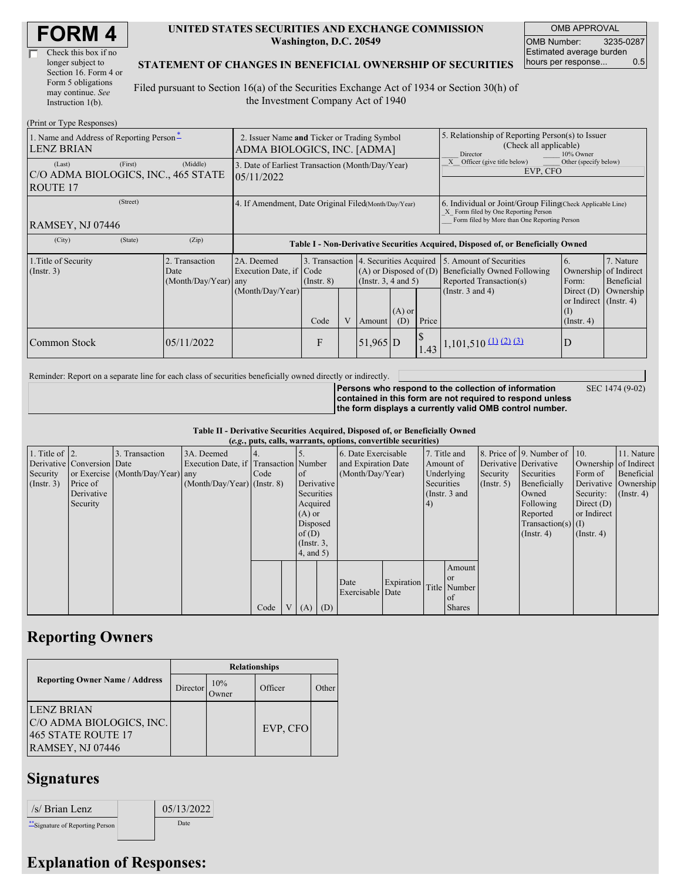| <b>FORM4</b> |  |
|--------------|--|
|--------------|--|

| Check this box if no  |
|-----------------------|
| longer subject to     |
| Section 16. Form 4 or |
| Form 5 obligations    |
| may continue. See     |
| Instruction 1(b).     |

#### **UNITED STATES SECURITIES AND EXCHANGE COMMISSION Washington, D.C. 20549**

OMB APPROVAL OMB Number: 3235-0287 Estimated average burden hours per response... 0.5

SEC 1474 (9-02)

### **STATEMENT OF CHANGES IN BENEFICIAL OWNERSHIP OF SECURITIES**

Filed pursuant to Section 16(a) of the Securities Exchange Act of 1934 or Section 30(h) of the Investment Company Act of 1940

| (Print or Type Responses)                                                   |                                                                            |                                                      |                                                                          |   |                                                                |                 |                                                                                                                                                    |                                                                                                             |                                                                                               |                                                     |  |
|-----------------------------------------------------------------------------|----------------------------------------------------------------------------|------------------------------------------------------|--------------------------------------------------------------------------|---|----------------------------------------------------------------|-----------------|----------------------------------------------------------------------------------------------------------------------------------------------------|-------------------------------------------------------------------------------------------------------------|-----------------------------------------------------------------------------------------------|-----------------------------------------------------|--|
| 1. Name and Address of Reporting Person-<br><b>LENZ BRIAN</b>               | 2. Issuer Name and Ticker or Trading Symbol<br>ADMA BIOLOGICS, INC. [ADMA] |                                                      |                                                                          |   |                                                                |                 | 5. Relationship of Reporting Person(s) to Issuer<br>(Check all applicable)<br>Director<br>10% Owner                                                |                                                                                                             |                                                                                               |                                                     |  |
| (First)<br>(Last)<br>C/O ADMA BIOLOGICS, INC., 465 STATE<br><b>ROUTE 17</b> | 3. Date of Earliest Transaction (Month/Day/Year)<br>05/11/2022             |                                                      |                                                                          |   |                                                                |                 | Officer (give title below)<br>Other (specify below)<br>EVP, CFO                                                                                    |                                                                                                             |                                                                                               |                                                     |  |
| (Street)<br>RAMSEY, NJ 07446                                                | 4. If Amendment, Date Original Filed(Month/Day/Year)                       |                                                      |                                                                          |   |                                                                |                 | 6. Individual or Joint/Group Filing Check Applicable Line)<br>X Form filed by One Reporting Person<br>Form filed by More than One Reporting Person |                                                                                                             |                                                                                               |                                                     |  |
| (State)<br>(City)                                                           | (Zip)                                                                      |                                                      |                                                                          |   |                                                                |                 |                                                                                                                                                    | Table I - Non-Derivative Securities Acquired, Disposed of, or Beneficially Owned                            |                                                                                               |                                                     |  |
| 1. Title of Security<br>$($ Instr. 3 $)$                                    | 2. Transaction<br>Date<br>(Month/Day/Year) any                             | 2A. Deemed<br>Execution Date, if<br>(Month/Day/Year) | 3. Transaction 4. Securities Acquired<br>Code<br>$($ Instr. $8)$<br>Code | V | $(A)$ or Disposed of $(D)$<br>$($ Instr. 3, 4 and 5)<br>Amount | $(A)$ or<br>(D) | Price                                                                                                                                              | 5. Amount of Securities<br>Beneficially Owned Following<br>Reported Transaction(s)<br>(Instr. $3$ and $4$ ) | 6.<br>Ownership<br>Form:<br>Direct $(D)$<br>or Indirect (Instr. 4)<br>(1)<br>$($ Instr. 4 $)$ | 7. Nature<br>of Indirect<br>Beneficial<br>Ownership |  |
| Common Stock                                                                | 05/11/2022                                                                 |                                                      | F                                                                        |   | $51,965$ D                                                     |                 | 1.43                                                                                                                                               | $(1,101,510)$ $(1)$ $(2)$ $(3)$                                                                             | D                                                                                             |                                                     |  |

Reminder: Report on a separate line for each class of securities beneficially owned directly or indirectly.

**Persons who respond to the collection of information contained in this form are not required to respond unless the form displays a currently valid OMB control number.**

**Table II - Derivative Securities Acquired, Disposed of, or Beneficially Owned**

|                        | (e.g., puts, calls, warrants, options, convertible securities) |                                  |                                       |      |  |                 |     |                     |            |            |               |             |                              |                       |                      |
|------------------------|----------------------------------------------------------------|----------------------------------|---------------------------------------|------|--|-----------------|-----|---------------------|------------|------------|---------------|-------------|------------------------------|-----------------------|----------------------|
| 1. Title of $\vert$ 2. |                                                                | 3. Transaction                   | 3A. Deemed                            |      |  |                 |     | 6. Date Exercisable |            |            | 7. Title and  |             | 8. Price of 9. Number of 10. |                       | 11. Nature           |
|                        | Derivative Conversion Date                                     |                                  | Execution Date, if Transaction Number |      |  |                 |     | and Expiration Date |            |            | Amount of     |             | Derivative Derivative        | Ownership of Indirect |                      |
| Security               |                                                                | or Exercise (Month/Day/Year) any |                                       | Code |  | <sub>of</sub>   |     | (Month/Day/Year)    | Underlying |            | Security      | Securities  | Form of                      | Beneficial            |                      |
| $($ Instr. 3 $)$       | Price of                                                       |                                  | $(Month/Day/Year)$ (Instr. 8)         |      |  | Derivative      |     |                     |            | Securities |               | (Insert, 5) | Beneficially                 |                       | Derivative Ownership |
|                        | Derivative                                                     |                                  |                                       |      |  | Securities      |     |                     |            |            | (Instr. 3 and |             | Owned                        | Security:             | $($ Instr. 4)        |
|                        | Security                                                       |                                  |                                       |      |  | Acquired        |     |                     |            | (4)        |               |             | Following                    | Direct $(D)$          |                      |
|                        |                                                                |                                  |                                       |      |  | $(A)$ or        |     |                     |            |            |               |             | Reported                     | or Indirect           |                      |
|                        |                                                                |                                  |                                       |      |  | Disposed        |     |                     |            |            |               |             | $Transaction(s)$ (I)         |                       |                      |
|                        |                                                                |                                  |                                       |      |  | of $(D)$        |     |                     |            |            |               |             | $($ Instr. 4 $)$             | $($ Instr. 4 $)$      |                      |
|                        |                                                                |                                  |                                       |      |  | $($ Instr. $3,$ |     |                     |            |            |               |             |                              |                       |                      |
|                        |                                                                |                                  |                                       |      |  | 4, and 5)       |     |                     |            |            |               |             |                              |                       |                      |
|                        |                                                                |                                  |                                       |      |  |                 |     |                     |            |            | Amount        |             |                              |                       |                      |
|                        |                                                                |                                  |                                       |      |  |                 |     |                     |            |            | <b>or</b>     |             |                              |                       |                      |
|                        |                                                                |                                  |                                       |      |  |                 |     | Date                | Expiration |            | Title Number  |             |                              |                       |                      |
|                        |                                                                |                                  |                                       |      |  |                 |     | Exercisable Date    |            |            | of            |             |                              |                       |                      |
|                        |                                                                |                                  |                                       | Code |  | V(A)            | (D) |                     |            |            | <b>Shares</b> |             |                              |                       |                      |

## **Reporting Owners**

|                                                                                   | <b>Relationships</b> |                     |          |       |  |  |  |  |
|-----------------------------------------------------------------------------------|----------------------|---------------------|----------|-------|--|--|--|--|
| <b>Reporting Owner Name / Address</b>                                             | Director             | 10%<br><b>Dwner</b> | Officer  | Other |  |  |  |  |
| ILENZ BRIAN<br>C/O ADMA BIOLOGICS, INC.<br>465 STATE ROUTE 17<br>RAMSEY, NJ 07446 |                      |                     | EVP, CFO |       |  |  |  |  |

# **Signatures**

| /s/ Brian Lenz                   | 05/13/2022 |
|----------------------------------|------------|
| ** Signature of Reporting Person | Date       |

## **Explanation of Responses:**